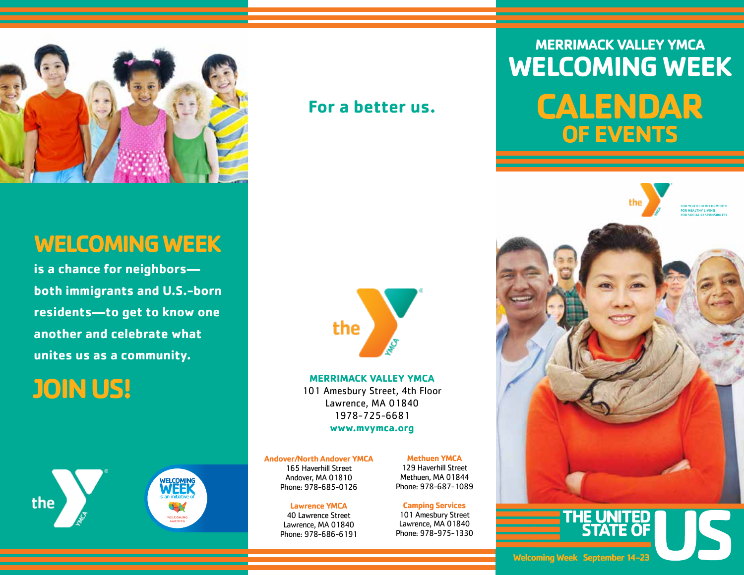

### **For a better us.**

### **WELCOMING WEEK**

**is a chance for neighbors both immigrants and U.S.-born residents—to get to know one another and celebrate what unites us as a community.**

# **JOIN US!**



# the

**MERRIMACK VALLEY YMCA** 101 Amesbury Street, 4th Floor Lawrence, MA 01840 1978-725-6681 **www.mvymca.org**

**Andover/North Andover YMCA**

165 Haverhill Street Andover, MA 01810 Phone: 978-685-0126

### **Lawrence YMCA**

40 Lawrence Street Lawrence, MA 01840 Phone: 978-686-6191 **Methuen YMCA**

129 Haverhill Street Methuen, MA 01844 Phone: 978-687-1089

**Camping Services** 101 Amesbury Street

Lawrence, MA 01840 Phone: 978-975-1330

## **MERRIMACK VALLEY YMCA WELCOMING WEEK**

# **CALENDAR OF EVENTS**



**Welcoming Week September 14-23**